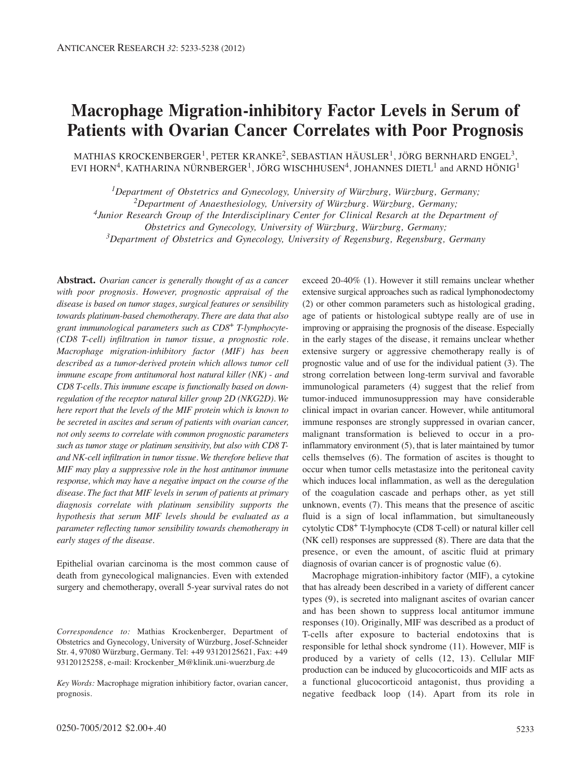# **Macrophage Migration-inhibitory Factor Levels in Serum of Patients with Ovarian Cancer Correlates with Poor Prognosis**

MATHIAS KROCKENBERGER<sup>1</sup>, PETER KRANKE<sup>2</sup>, SEBASTIAN HÄUSLER<sup>1</sup>, JÖRG BERNHARD ENGEL<sup>3</sup>, EVI HORN<sup>4</sup>, KATHARINA NÜRNBERGER<sup>1</sup>, JÖRG WISCHHUSEN<sup>4</sup>, JOHANNES DIETL<sup>1</sup> and ARND HÖNIG<sup>1</sup>

*1Department of Obstetrics and Gynecology, University of Würzburg, Würzburg, Germany;*

*2Department of Anaesthesiology, University of Würzburg. Würzburg, Germany;*

*4Junior Research Group of the Interdisciplinary Center for Clinical Resarch at the Department of* 

*Obstetrics and Gynecology, University of Würzburg, Würzburg, Germany;*

*3Department of Obstetrics and Gynecology, University of Regensburg, Regensburg, Germany*

**Abstract.** *Ovarian cancer is generally thought of as a cancer with poor prognosis. However, prognostic appraisal of the disease is based on tumor stages, surgical features or sensibility towards platinum-based chemotherapy. There are data that also grant immunological parameters such as CD8*<sup>+</sup> *T-lymphocyte- (CD8 T-cell) infiltration in tumor tissue, a prognostic role. Macrophage migration-inhibitory factor (MIF) has been described as a tumor-derived protein which allows tumor cell immune escape from antitumoral host natural killer (NK) - and CD8 T-cells. This immune escape is functionally based on downregulation of the receptor natural killer group 2D (NKG2D). We here report that the levels of the MIF protein which is known to be secreted in ascites and serum of patients with ovarian cancer, not only seems to correlate with common prognostic parameters such as tumor stage or platinum sensitivity, but also with CD8 Tand NK-cell infiltration in tumor tissue. We therefore believe that MIF may play a suppressive role in the host antitumor immune response, which may have a negative impact on the course of the disease. The fact that MIF levels in serum of patients at primary diagnosis correlate with platinum sensibility supports the hypothesis that serum MIF levels should be evaluated as a parameter reflecting tumor sensibility towards chemotherapy in early stages of the disease.* 

Epithelial ovarian carcinoma is the most common cause of death from gynecological malignancies. Even with extended surgery and chemotherapy, overall 5-year survival rates do not

*Correspondence to:* Mathias Krockenberger, Department of Obstetrics and Gynecology, University of Würzburg, Josef-Schneider Str. 4, 97080 Würzburg, Germany. Tel: +49 93120125621, Fax: +49 93120125258, e-mail: Krockenber\_M@klinik.uni-wuerzburg.de

*Key Words:* Macrophage migration inhibitiory factor, ovarian cancer, prognosis.

(2) or other common parameters such as histological grading, age of patients or histological subtype really are of use in improving or appraising the prognosis of the disease. Especially in the early stages of the disease, it remains unclear whether extensive surgery or aggressive chemotherapy really is of prognostic value and of use for the individual patient (3). The strong correlation between long-term survival and favorable immunological parameters (4) suggest that the relief from tumor-induced immunosuppression may have considerable clinical impact in ovarian cancer. However, while antitumoral immune responses are strongly suppressed in ovarian cancer, malignant transformation is believed to occur in a proinflammatory environment (5), that is later maintained by tumor cells themselves (6). The formation of ascites is thought to occur when tumor cells metastasize into the peritoneal cavity which induces local inflammation, as well as the deregulation of the coagulation cascade and perhaps other, as yet still unknown, events (7). This means that the presence of ascitic fluid is a sign of local inflammation, but simultaneously cytolytic CD8+ T-lymphocyte (CD8 T-cell) or natural killer cell (NK cell) responses are suppressed (8). There are data that the presence, or even the amount, of ascitic fluid at primary diagnosis of ovarian cancer is of prognostic value (6).

exceed 20-40% (1). However it still remains unclear whether extensive surgical approaches such as radical lymphonodectomy

Macrophage migration-inhibitory factor (MIF), a cytokine that has already been described in a variety of different cancer types (9), is secreted into malignant ascites of ovarian cancer and has been shown to suppress local antitumor immune responses (10). Originally, MIF was described as a product of T-cells after exposure to bacterial endotoxins that is responsible for lethal shock syndrome (11). However, MIF is produced by a variety of cells (12, 13). Cellular MIF production can be induced by glucocorticoids and MIF acts as a functional glucocorticoid antagonist, thus providing a negative feedback loop (14). Apart from its role in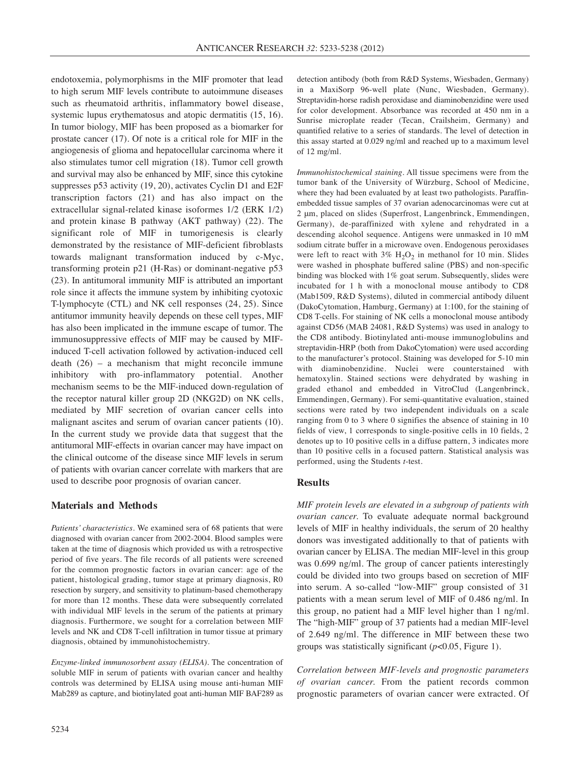endotoxemia, polymorphisms in the MIF promoter that lead to high serum MIF levels contribute to autoimmune diseases such as rheumatoid arthritis, inflammatory bowel disease, systemic lupus erythematosus and atopic dermatitis  $(15, 16)$ . In tumor biology, MIF has been proposed as a biomarker for prostate cancer (17). Of note is a critical role for MIF in the angiogenesis of glioma and hepatocellular carcinoma where it also stimulates tumor cell migration (18). Tumor cell growth and survival may also be enhanced by MIF, since this cytokine suppresses p53 activity (19, 20), activates Cyclin D1 and E2F transcription factors (21) and has also impact on the extracellular signal-related kinase isoformes 1/2 (ERK 1/2) and protein kinase B pathway (AKT pathway) (22). The significant role of MIF in tumorigenesis is clearly demonstrated by the resistance of MIF-deficient fibroblasts towards malignant transformation induced by c-Myc, transforming protein p21 (H-Ras) or dominant-negative p53 (23). In antitumoral immunity MIF is attributed an important role since it affects the immune system by inhibiting cyotoxic T-lymphocyte (CTL) and NK cell responses (24, 25). Since antitumor immunity heavily depends on these cell types, MIF has also been implicated in the immune escape of tumor. The immunosuppressive effects of MIF may be caused by MIFinduced T-cell activation followed by activation-induced cell death  $(26)$  – a mechanism that might reconcile immune inhibitory with pro-inflammatory potential. Another mechanism seems to be the MIF-induced down-regulation of the receptor natural killer group 2D (NKG2D) on NK cells, mediated by MIF secretion of ovarian cancer cells into malignant ascites and serum of ovarian cancer patients (10). In the current study we provide data that suggest that the antitumoral MIF-effects in ovarian cancer may have impact on the clinical outcome of the disease since MIF levels in serum of patients with ovarian cancer correlate with markers that are used to describe poor prognosis of ovarian cancer.

## **Materials and Methods**

*Patients' characteristics.* We examined sera of 68 patients that were diagnosed with ovarian cancer from 2002-2004. Blood samples were taken at the time of diagnosis which provided us with a retrospective period of five years. The file records of all patients were screened for the common prognostic factors in ovarian cancer: age of the patient, histological grading, tumor stage at primary diagnosis, R0 resection by surgery, and sensitivity to platinum-based chemotherapy for more than 12 months. These data were subsequently correlated with individual MIF levels in the serum of the patients at primary diagnosis. Furthermore, we sought for a correlation between MIF levels and NK and CD8 T-cell infiltration in tumor tissue at primary diagnosis, obtained by immunohistochemistry.

*Enzyme-linked immunosorbent assay (ELISA).* The concentration of soluble MIF in serum of patients with ovarian cancer and healthy controls was determined by ELISA using mouse anti-human MIF Mab289 as capture, and biotinylated goat anti-human MIF BAF289 as

detection antibody (both from R&D Systems, Wiesbaden, Germany) in a MaxiSorp 96-well plate (Nunc, Wiesbaden, Germany). Streptavidin-horse radish peroxidase and diaminobenzidine were used for color development. Absorbance was recorded at 450 nm in a Sunrise microplate reader (Tecan, Crailsheim, Germany) and quantified relative to a series of standards. The level of detection in this assay started at 0.029 ng/ml and reached up to a maximum level of 12 mg/ml.

*Immunohistochemical staining.* All tissue specimens were from the tumor bank of the University of Würzburg, School of Medicine, where they had been evaluated by at least two pathologists. Paraffinembedded tissue samples of 37 ovarian adenocarcinomas were cut at 2 μm, placed on slides (Superfrost, Langenbrinck, Emmendingen, Germany), de-paraffinized with xylene and rehydrated in a descending alcohol sequence. Antigens were unmasked in 10 mM sodium citrate buffer in a microwave oven. Endogenous peroxidases were left to react with  $3\%$  H<sub>2</sub>O<sub>2</sub> in methanol for 10 min. Slides were washed in phosphate buffered saline (PBS) and non-specific binding was blocked with 1% goat serum. Subsequently, slides were incubated for 1 h with a monoclonal mouse antibody to CD8 (Mab1509, R&D Systems), diluted in commercial antibody diluent (DakoCytomation, Hamburg, Germany) at 1:100, for the staining of CD8 T-cells. For staining of NK cells a monoclonal mouse antibody against CD56 (MAB 24081, R&D Systems) was used in analogy to the CD8 antibody. Biotinylated anti-mouse immunoglobulins and streptavidin-HRP (both from DakoCytomation) were used according to the manufacturer's protocol. Staining was developed for 5-10 min with diaminobenzidine. Nuclei were counterstained with hematoxylin. Stained sections were dehydrated by washing in graded ethanol and embedded in VitroClud (Langenbrinck, Emmendingen, Germany). For semi-quantitative evaluation, stained sections were rated by two independent individuals on a scale ranging from 0 to 3 where 0 signifies the absence of staining in 10 fields of view, 1 corresponds to single-positive cells in 10 fields, 2 denotes up to 10 positive cells in a diffuse pattern, 3 indicates more than 10 positive cells in a focused pattern. Statistical analysis was performed, using the Students *t*-test.

## **Results**

*MIF protein levels are elevated in a subgroup of patients with ovarian cancer.* To evaluate adequate normal background levels of MIF in healthy individuals, the serum of 20 healthy donors was investigated additionally to that of patients with ovarian cancer by ELISA. The median MIF-level in this group was 0.699 ng/ml. The group of cancer patients interestingly could be divided into two groups based on secretion of MIF into serum. A so-called "low-MIF" group consisted of 31 patients with a mean serum level of MIF of 0.486 ng/ml. In this group, no patient had a MIF level higher than 1 ng/ml. The "high-MIF" group of 37 patients had a median MIF-level of 2.649 ng/ml. The difference in MIF between these two groups was statistically significant (*p*<0.05, Figure 1).

*Correlation between MIF-levels and prognostic parameters of ovarian cancer.* From the patient records common prognostic parameters of ovarian cancer were extracted. Of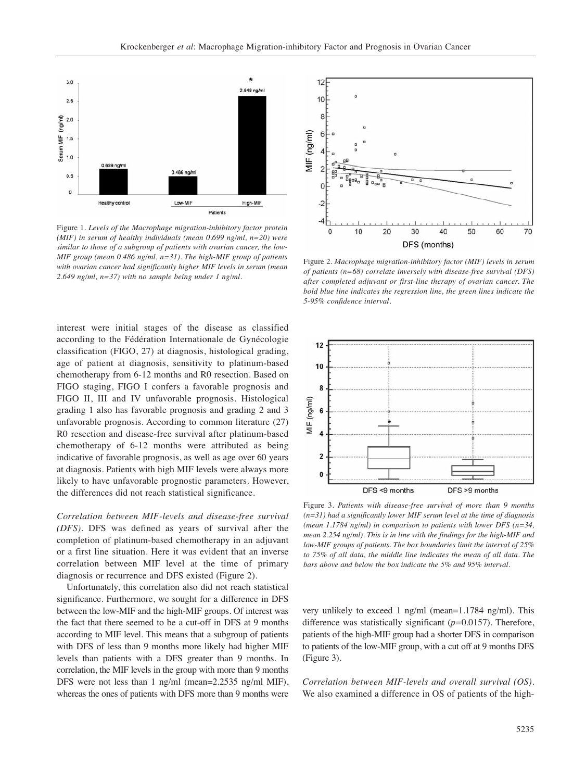

Figure 1. *Levels of the Macrophage migration-inhibitory factor protein (MIF) in serum of healthy individuals (mean 0.699 ng/ml, n=20) were similar to those of a subgroup of patients with ovarian cancer, the low-MIF group (mean 0.486 ng/ml, n=31). The high-MIF group of patients with ovarian cancer had significantly higher MIF levels in serum (mean 2.649 ng/ml, n=37) with no sample being under 1 ng/ml.*

interest were initial stages of the disease as classified according to the Fédération Internationale de Gynécologie classification (FIGO, 27) at diagnosis, histological grading, age of patient at diagnosis, sensitivity to platinum-based chemotherapy from 6-12 months and R0 resection. Based on FIGO staging, FIGO I confers a favorable prognosis and FIGO II, III and IV unfavorable prognosis. Histological grading 1 also has favorable prognosis and grading 2 and 3 unfavorable prognosis. According to common literature (27) R0 resection and disease-free survival after platinum-based chemotherapy of 6-12 months were attributed as being indicative of favorable prognosis, as well as age over 60 years at diagnosis. Patients with high MIF levels were always more likely to have unfavorable prognostic parameters. However, the differences did not reach statistical significance.

*Correlation between MIF-levels and disease-free survival (DFS).* DFS was defined as years of survival after the completion of platinum-based chemotherapy in an adjuvant or a first line situation. Here it was evident that an inverse correlation between MIF level at the time of primary diagnosis or recurrence and DFS existed (Figure 2).

Unfortunately, this correlation also did not reach statistical significance. Furthermore, we sought for a difference in DFS between the low-MIF and the high-MIF groups. Of interest was the fact that there seemed to be a cut-off in DFS at 9 months according to MIF level. This means that a subgroup of patients with DFS of less than 9 months more likely had higher MIF levels than patients with a DFS greater than 9 months. In correlation, the MIF levels in the group with more than 9 months DFS were not less than 1 ng/ml (mean=2.2535 ng/ml MIF), whereas the ones of patients with DFS more than 9 months were



Figure 2. *Macrophage migration-inhibitory factor (MIF) levels in serum of patients (n=68) correlate inversely with disease-free survival (DFS) after completed adjuvant or first-line therapy of ovarian cancer. The bold blue line indicates the regression line, the green lines indicate the 5-95% confidence interval.* 



Figure 3. *Patients with disease-free survival of more than 9 months (n=31) had a significantly lower MIF serum level at the time of diagnosis (mean 1.1784 ng/ml) in comparison to patients with lower DFS (n=34, mean 2.254 ng/ml). This is in line with the findings for the high-MIF and low-MIF groups of patients. The box boundaries limit the interval of 25% to 75% of all data, the middle line indicates the mean of all data. The bars above and below the box indicate the 5% and 95% interval.* 

very unlikely to exceed 1 ng/ml (mean=1.1784 ng/ml). This difference was statistically significant (*p=*0.0157). Therefore, patients of the high-MIF group had a shorter DFS in comparison to patients of the low-MIF group, with a cut off at 9 months DFS (Figure 3).

*Correlation between MIF-levels and overall survival (OS)*. We also examined a difference in OS of patients of the high-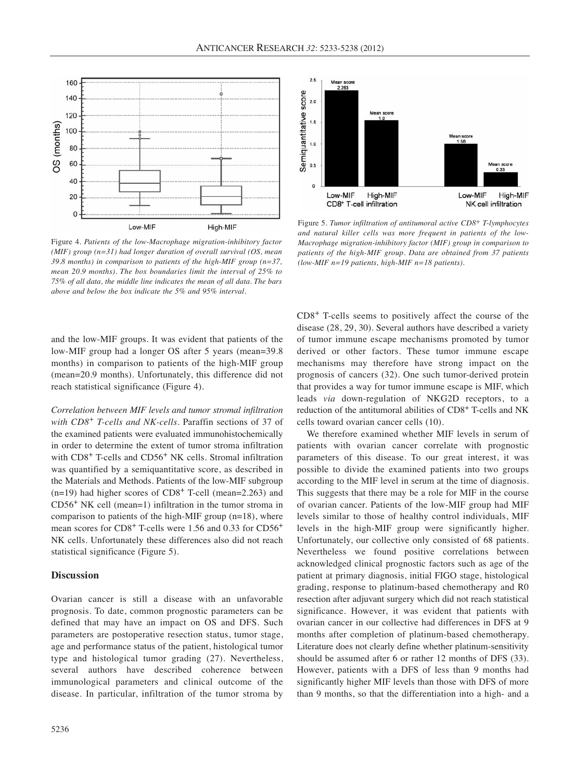

Figure 4. *Patients of the low-Macrophage migration-inhibitory factor (MIF) group (n=31) had longer duration of overall survival (OS, mean 39.8 months) in comparison to patients of the high-MIF group (n=37, mean 20.9 months). The box boundaries limit the interval of 25% to 75% of all data, the middle line indicates the mean of all data. The bars above and below the box indicate the 5% and 95% interval.*

and the low-MIF groups. It was evident that patients of the low-MIF group had a longer OS after 5 years (mean=39.8 months) in comparison to patients of the high-MIF group (mean=20.9 months). Unfortunately, this difference did not reach statistical significance (Figure 4).

*Correlation between MIF levels and tumor stromal infiltration with CD8<sup>+</sup> T-cells and NK-cells.* Paraffin sections of 37 of the examined patients were evaluated immunohistochemically in order to determine the extent of tumor stroma infiltration with CD8<sup>+</sup> T-cells and CD56<sup>+</sup> NK cells. Stromal infiltration was quantified by a semiquantitative score, as described in the Materials and Methods. Patients of the low-MIF subgroup  $(n=19)$  had higher scores of CD8<sup>+</sup> T-cell (mean=2.263) and CD56<sup>+</sup> NK cell (mean=1) infiltration in the tumor stroma in comparison to patients of the high-MIF group (n=18), where mean scores for CD8<sup>+</sup> T-cells were 1.56 and 0.33 for CD56<sup>+</sup> NK cells. Unfortunately these differences also did not reach statistical significance (Figure 5).

### **Discussion**

Ovarian cancer is still a disease with an unfavorable prognosis. To date, common prognostic parameters can be defined that may have an impact on OS and DFS. Such parameters are postoperative resection status, tumor stage, age and performance status of the patient, histological tumor type and histological tumor grading (27). Nevertheless, several authors have described coherence between immunological parameters and clinical outcome of the disease. In particular, infiltration of the tumor stroma by





Figure 5. *Tumor infiltration of antitumoral active CD8+ T-lymphocytes and natural killer cells was more frequent in patients of the low-Macrophage migration-inhibitory factor (MIF) group in comparison to patients of the high-MIF group. Data are obtained from 37 patients (low-MIF n=19 patients, high-MIF n=18 patients).*

CD8<sup>+</sup> T-cells seems to positively affect the course of the disease (28, 29, 30). Several authors have described a variety of tumor immune escape mechanisms promoted by tumor derived or other factors. These tumor immune escape mechanisms may therefore have strong impact on the prognosis of cancers (32). One such tumor-derived protein that provides a way for tumor immune escape is MIF, which leads *via* down-regulation of NKG2D receptors, to a reduction of the antitumoral abilities of CD8<sup>+</sup> T-cells and NK cells toward ovarian cancer cells (10).

We therefore examined whether MIF levels in serum of patients with ovarian cancer correlate with prognostic parameters of this disease. To our great interest, it was possible to divide the examined patients into two groups according to the MIF level in serum at the time of diagnosis. This suggests that there may be a role for MIF in the course of ovarian cancer. Patients of the low-MIF group had MIF levels similar to those of healthy control individuals, MIF levels in the high-MIF group were significantly higher. Unfortunately, our collective only consisted of 68 patients. Nevertheless we found positive correlations between acknowledged clinical prognostic factors such as age of the patient at primary diagnosis, initial FIGO stage, histological grading, response to platinum-based chemotherapy and R0 resection after adjuvant surgery which did not reach statistical significance. However, it was evident that patients with ovarian cancer in our collective had differences in DFS at 9 months after completion of platinum-based chemotherapy. Literature does not clearly define whether platinum-sensitivity should be assumed after 6 or rather 12 months of DFS (33). However, patients with a DFS of less than 9 months had significantly higher MIF levels than those with DFS of more than 9 months, so that the differentiation into a high- and a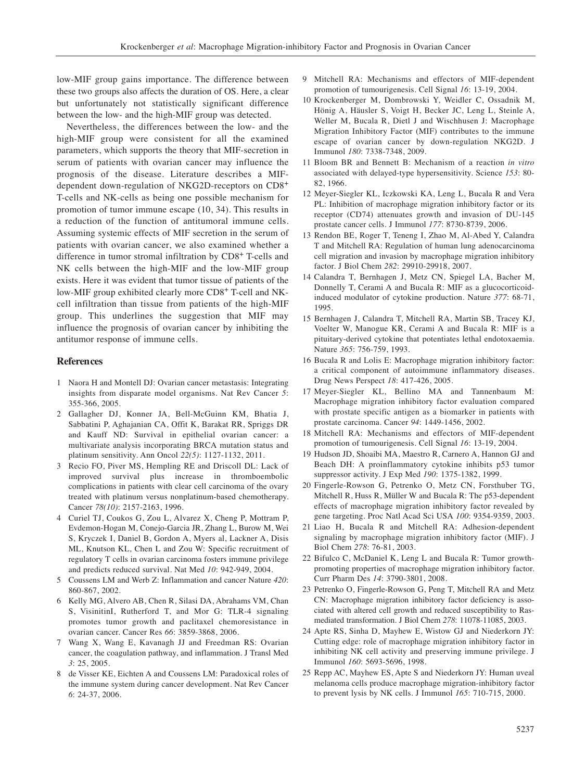low-MIF group gains importance. The difference between these two groups also affects the duration of OS. Here, a clear but unfortunately not statistically significant difference between the low- and the high-MIF group was detected.

Nevertheless, the differences between the low- and the high-MIF group were consistent for all the examined parameters, which supports the theory that MIF-secretion in serum of patients with ovarian cancer may influence the prognosis of the disease. Literature describes a MIFdependent down-regulation of NKG2D-receptors on CD8<sup>+</sup> T-cells and NK-cells as being one possible mechanism for promotion of tumor immune escape (10, 34). This results in a reduction of the function of antitumoral immune cells. Assuming systemic effects of MIF secretion in the serum of patients with ovarian cancer, we also examined whether a difference in tumor stromal infiltration by CD8<sup>+</sup> T-cells and NK cells between the high-MIF and the low-MIF group exists. Here it was evident that tumor tissue of patients of the low-MIF group exhibited clearly more CD8<sup>+</sup> T-cell and NKcell infiltration than tissue from patients of the high-MIF group. This underlines the suggestion that MIF may influence the prognosis of ovarian cancer by inhibiting the antitumor response of immune cells.

#### **References**

- 1 Naora H and Montell DJ: Ovarian cancer metastasis: Integrating insights from disparate model organisms. Nat Rev Cancer *5*: 355-366, 2005.
- 2 Gallagher DJ, Konner JA, Bell-McGuinn KM, Bhatia J, Sabbatini P, Aghajanian CA, Offit K, Barakat RR, Spriggs DR and Kauff ND: Survival in epithelial ovarian cancer: a multivariate analysis incorporating BRCA mutation status and platinum sensitivity. Ann Oncol *22(5)*: 1127-1132, 2011.
- 3 Recio FO, Piver MS, Hempling RE and Driscoll DL: Lack of improved survival plus increase in thromboembolic complications in patients with clear cell carcinoma of the ovary treated with platinum versus nonplatinum-based chemotherapy. Cancer *78(10)*: 2157-2163, 1996.
- 4 Curiel TJ, Coukos G, Zou L, Alvarez X, Cheng P, Mottram P, Evdemon-Hogan M, Conejo-Garcia JR, Zhang L, Burow M, Wei S, Kryczek I, Daniel B, Gordon A, Myers al, Lackner A, Disis ML, Knutson KL, Chen L and Zou W: Specific recruitment of regulatory T cells in ovarian carcinoma fosters immune privilege and predicts reduced survival. Nat Med *10*: 942-949, 2004.
- 5 Coussens LM and Werb Z: Inflammation and cancer Nature *420*: 860-867, 2002.
- 6 Kelly MG, Alvero AB, Chen R, Silasi DA, Abrahams VM, Chan S, VisinitinI, Rutherford T, and Mor G: TLR-4 signaling promotes tumor growth and paclitaxel chemoresistance in ovarian cancer. Cancer Res *66*: 3859-3868, 2006.
- 7 Wang X, Wang E, Kavanagh JJ and Freedman RS: Ovarian cancer, the coagulation pathway, and inflammation. J Transl Med *3*: 25, 2005.
- 8 de Visser KE, Eichten A and Coussens LM: Paradoxical roles of the immune system during cancer development. Nat Rev Cancer *6*: 24-37, 2006.
- 9 Mitchell RA: Mechanisms and effectors of MIF-dependent promotion of tumourigenesis. Cell Signal *16*: 13-19, 2004.
- 10 Krockenberger M, Dombrowski Y, Weidler C, Ossadnik M, Hönig A, Häusler S, Voigt H, Becker JC, Leng L, Steinle A, Weller M, Bucala R, Dietl J and Wischhusen J: Macrophage Migration Inhibitory Factor (MIF) contributes to the immune escape of ovarian cancer by down-regulation NKG2D. J Immunol *180*: 7338-7348, 2009.
- 11 Bloom BR and Bennett B: Mechanism of a reaction *in vitro* associated with delayed-type hypersensitivity. Science *153*: 80- 82, 1966.
- 12 Meyer-Siegler KL, Iczkowski KA, Leng L, Bucala R and Vera PL: Inhibition of macrophage migration inhibitory factor or its receptor (CD74) attenuates growth and invasion of DU-145 prostate cancer cells. J Immunol *177*: 8730-8739, 2006.
- 13 Rendon BE, Roger T, Teneng I, Zhao M, Al-Abed Y, Calandra T and Mitchell RA: Regulation of human lung adenocarcinoma cell migration and invasion by macrophage migration inhibitory factor. J Biol Chem *282*: 29910-29918, 2007.
- 14 Calandra T, Bernhagen J, Metz CN, Spiegel LA, Bacher M, Donnelly T, Cerami A and Bucala R: MIF as a glucocorticoidinduced modulator of cytokine production. Nature *377*: 68-71, 1995.
- 15 Bernhagen J, Calandra T, Mitchell RA, Martin SB, Tracey KJ, Voelter W, Manogue KR, Cerami A and Bucala R: MIF is a pituitary-derived cytokine that potentiates lethal endotoxaemia. Nature *365*: 756-759, 1993.
- 16 Bucala R and Lolis E: Macrophage migration inhibitory factor: a critical component of autoimmune inflammatory diseases. Drug News Perspect *18*: 417-426, 2005.
- 17 Meyer-Siegler KL, Bellino MA and Tannenbaum M: Macrophage migration inhibitory factor evaluation compared with prostate specific antigen as a biomarker in patients with prostate carcinoma. Cancer *94*: 1449-1456, 2002.
- 18 Mitchell RA: Mechanisms and effectors of MIF-dependent promotion of tumourigenesis. Cell Signal *16*: 13-19, 2004.
- 19 Hudson JD, Shoaibi MA, Maestro R, Carnero A, Hannon GJ and Beach DH: A proinflammatory cytokine inhibits p53 tumor suppressor activity. J Exp Med *190*: 1375-1382, 1999.
- 20 Fingerle-Rowson G, Petrenko O, Metz CN, Forsthuber TG, Mitchell R, Huss R, Müller W and Bucala R: The p53-dependent effects of macrophage migration inhibitory factor revealed by gene targeting. Proc Natl Acad Sci USA *100*: 9354-9359, 2003.
- 21 Liao H, Bucala R and Mitchell RA: Adhesion-dependent signaling by macrophage migration inhibitory factor (MIF). J Biol Chem *278*: 76-81, 2003.
- 22 Bifulco C, McDaniel K, Leng L and Bucala R: Tumor growthpromoting properties of macrophage migration inhibitory factor. Curr Pharm Des *14*: 3790-3801, 2008.
- 23 Petrenko O, Fingerle-Rowson G, Peng T, Mitchell RA and Metz CN: Macrophage migration inhibitory factor deficiency is associated with altered cell growth and reduced susceptibility to Rasmediated transformation. J Biol Chem *278*: 11078-11085, 2003.
- 24 Apte RS, Sinha D, Mayhew E, Wistow GJ and Niederkorn JY: Cutting edge: role of macrophage migration inhibitory factor in inhibiting NK cell activity and preserving immune privilege. J Immunol *160*: 5693-5696, 1998.
- 25 Repp AC, Mayhew ES, Apte S and Niederkorn JY: Human uveal melanoma cells produce macrophage migration-inhibitory factor to prevent lysis by NK cells. J Immunol *165*: 710-715, 2000.